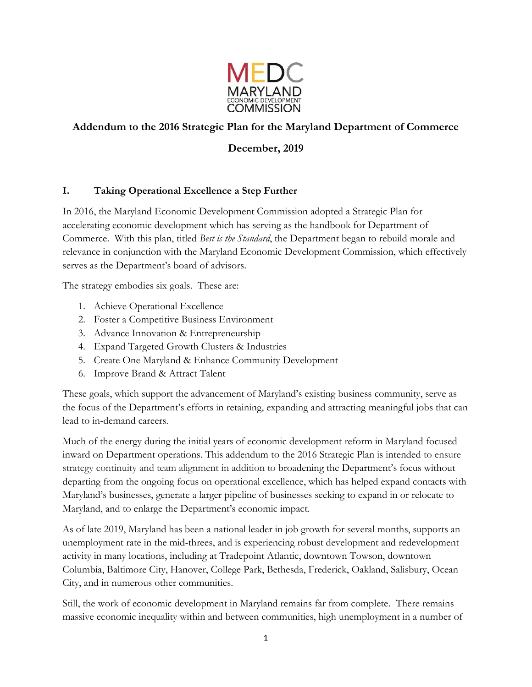

# **Addendum to the 2016 Strategic Plan for the Maryland Department of Commerce**

## **December, 2019**

## **I. Taking Operational Excellence a Step Further**

In 2016, the Maryland Economic Development Commission adopted a Strategic Plan for accelerating economic development which has serving as the handbook for Department of Commerce. With this plan, titled *Best is the Standard*, the Department began to rebuild morale and relevance in conjunction with the Maryland Economic Development Commission, which effectively serves as the Department's board of advisors.

The strategy embodies six goals. These are:

- 1. Achieve Operational Excellence
- 2. Foster a Competitive Business Environment
- 3. Advance Innovation & Entrepreneurship
- 4. Expand Targeted Growth Clusters & Industries
- 5. Create One Maryland & Enhance Community Development
- 6. Improve Brand & Attract Talent

These goals, which support the advancement of Maryland's existing business community, serve as the focus of the Department's efforts in retaining, expanding and attracting meaningful jobs that can lead to in-demand careers.

Much of the energy during the initial years of economic development reform in Maryland focused inward on Department operations. This addendum to the 2016 Strategic Plan is intended to ensure strategy continuity and team alignment in addition to broadening the Department's focus without departing from the ongoing focus on operational excellence, which has helped expand contacts with Maryland's businesses, generate a larger pipeline of businesses seeking to expand in or relocate to Maryland, and to enlarge the Department's economic impact.

As of late 2019, Maryland has been a national leader in job growth for several months, supports an unemployment rate in the mid-threes, and is experiencing robust development and redevelopment activity in many locations, including at Tradepoint Atlantic, downtown Towson, downtown Columbia, Baltimore City, Hanover, College Park, Bethesda, Frederick, Oakland, Salisbury, Ocean City, and in numerous other communities.

Still, the work of economic development in Maryland remains far from complete. There remains massive economic inequality within and between communities, high unemployment in a number of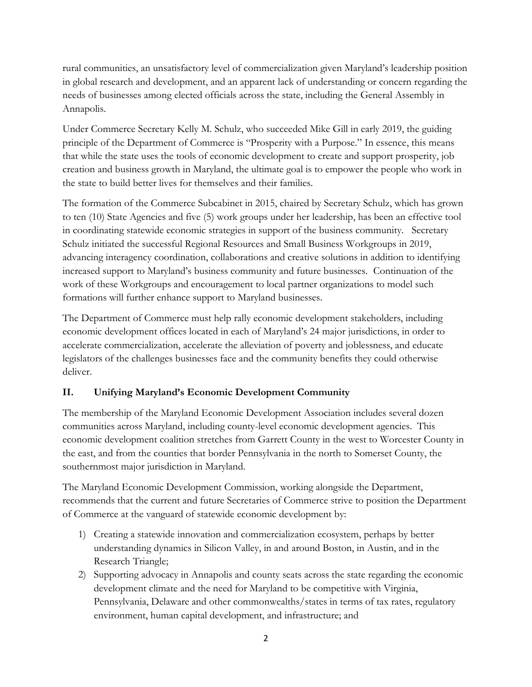rural communities, an unsatisfactory level of commercialization given Maryland's leadership position in global research and development, and an apparent lack of understanding or concern regarding the needs of businesses among elected officials across the state, including the General Assembly in Annapolis.

Under Commerce Secretary Kelly M. Schulz, who succeeded Mike Gill in early 2019, the guiding principle of the Department of Commerce is "Prosperity with a Purpose." In essence, this means that while the state uses the tools of economic development to create and support prosperity, job creation and business growth in Maryland, the ultimate goal is to empower the people who work in the state to build better lives for themselves and their families.

The formation of the Commerce Subcabinet in 2015, chaired by Secretary Schulz, which has grown to ten (10) State Agencies and five (5) work groups under her leadership, has been an effective tool in coordinating statewide economic strategies in support of the business community. Secretary Schulz initiated the successful Regional Resources and Small Business Workgroups in 2019, advancing interagency coordination, collaborations and creative solutions in addition to identifying increased support to Maryland's business community and future businesses. Continuation of the work of these Workgroups and encouragement to local partner organizations to model such formations will further enhance support to Maryland businesses.

The Department of Commerce must help rally economic development stakeholders, including economic development offices located in each of Maryland's 24 major jurisdictions, in order to accelerate commercialization, accelerate the alleviation of poverty and joblessness, and educate legislators of the challenges businesses face and the community benefits they could otherwise deliver.

## **II. Unifying Maryland's Economic Development Community**

The membership of the Maryland Economic Development Association includes several dozen communities across Maryland, including county-level economic development agencies. This economic development coalition stretches from Garrett County in the west to Worcester County in the east, and from the counties that border Pennsylvania in the north to Somerset County, the southernmost major jurisdiction in Maryland.

The Maryland Economic Development Commission, working alongside the Department, recommends that the current and future Secretaries of Commerce strive to position the Department of Commerce at the vanguard of statewide economic development by:

- 1) Creating a statewide innovation and commercialization ecosystem, perhaps by better understanding dynamics in Silicon Valley, in and around Boston, in Austin, and in the Research Triangle;
- 2) Supporting advocacy in Annapolis and county seats across the state regarding the economic development climate and the need for Maryland to be competitive with Virginia, Pennsylvania, Delaware and other commonwealths/states in terms of tax rates, regulatory environment, human capital development, and infrastructure; and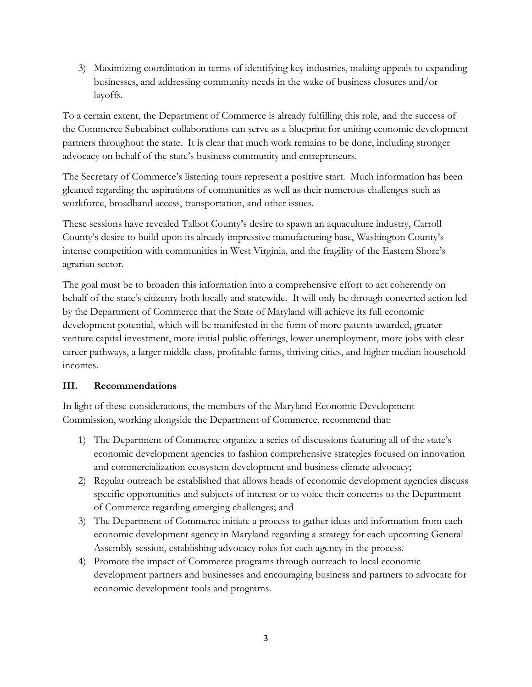3) Maximizing coordination in terms of identifying key industries, making appeals to expanding businesses, and addressing community needs in the wake of business closures and/or layoffs.

To a certain extent, the Department of Commerce is already fulfilling this role, and the success of the Commerce Subcabinet collaborations can serve as a blueprint for uniting economic development partners throughout the state. It is clear that much work remains to be done, including stronger advocacy on behalf of the state's business community and entrepreneurs.

The Secretary of Commerce's listening tours represent a positive start. Much information has been gleaned regarding the aspirations of communities as well as their numerous challenges such as workforce, broadband access, transportation, and other issues.

These sessions have revealed Talbot County's desire to spawn an aquaculture industry, Carroll County's desire to build upon its already impressive manufacturing base, Washington County's intense competition with communities in West Virginia, and the fragility of the Eastern Shore's agrarian sector.

The goal must be to broaden this information into a comprehensive effort to act coherently on behalf of the state's citizenry both locally and statewide. It will only be through concerted action led by the Department of Commerce that the State of Maryland will achieve its full economic development potential, which will be manifested in the form of more patents awarded, greater venture capital investment, more initial public offerings, lower unemployment, more jobs with clear career pathways, a larger middle class, profitable farms, thriving cities, and higher median household incomes.

## **III. Recommendations**

In light of these considerations, the members of the Maryland Economic Development Commission, working alongside the Department of Commerce, recommend that:

- 1) The Department of Commerce organize a series of discussions featuring all of the state's economic development agencies to fashion comprehensive strategies focused on innovation and commercialization ecosystem development and business climate advocacy;
- 2) Regular outreach be established that allows heads of economic development agencies discuss specific opportunities and subjects of interest or to voice their concerns to the Department of Commerce regarding emerging challenges; and
- 3) The Department of Commerce initiate a process to gather ideas and information from each economic development agency in Maryland regarding a strategy for each upcoming General Assembly session, establishing advocacy roles for each agency in the process.
- 4) Promote the impact of Commerce programs through outreach to local economic development partners and businesses and encouraging business and partners to advocate for economic development tools and programs.